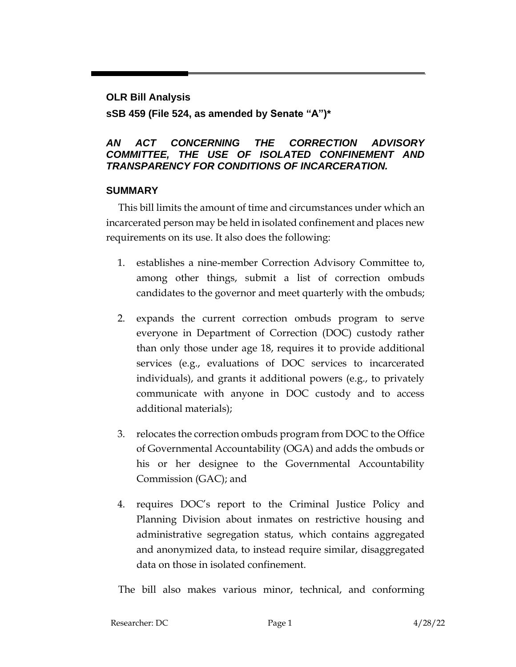### **OLR Bill Analysis**

**sSB 459 (File 524, as amended by Senate "A")\***

### *AN ACT CONCERNING THE CORRECTION ADVISORY COMMITTEE, THE USE OF ISOLATED CONFINEMENT AND TRANSPARENCY FOR CONDITIONS OF INCARCERATION.*

### **SUMMARY**

This bill limits the amount of time and circumstances under which an incarcerated person may be held in isolated confinement and places new requirements on its use. It also does the following:

- 1. establishes a nine-member Correction Advisory Committee to, among other things, submit a list of correction ombuds candidates to the governor and meet quarterly with the ombuds;
- 2. expands the current correction ombuds program to serve everyone in Department of Correction (DOC) custody rather than only those under age 18, requires it to provide additional services (e.g., evaluations of DOC services to incarcerated individuals), and grants it additional powers (e.g., to privately communicate with anyone in DOC custody and to access additional materials);
- 3. relocates the correction ombuds program from DOC to the Office of Governmental Accountability (OGA) and adds the ombuds or his or her designee to the Governmental Accountability Commission (GAC); and
- 4. requires DOC's report to the Criminal Justice Policy and Planning Division about inmates on restrictive housing and administrative segregation status, which contains aggregated and anonymized data, to instead require similar, disaggregated data on those in isolated confinement.

The bill also makes various minor, technical, and conforming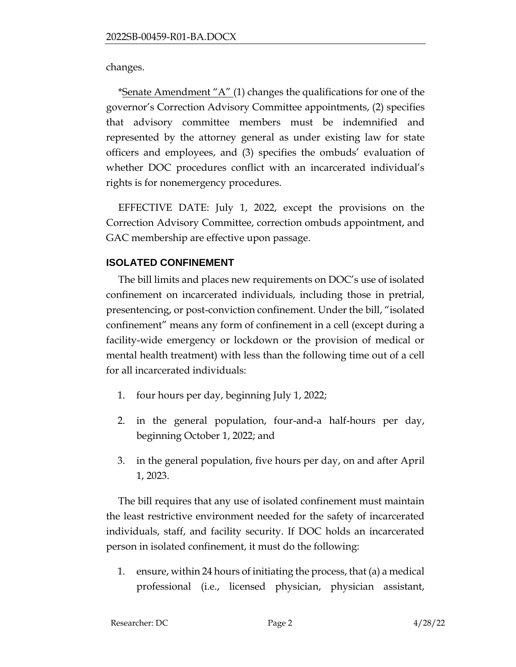changes.

\*Senate Amendment " $A$ " (1) changes the qualifications for one of the governor's Correction Advisory Committee appointments, (2) specifies that advisory committee members must be indemnified and represented by the attorney general as under existing law for state officers and employees, and (3) specifies the ombuds' evaluation of whether DOC procedures conflict with an incarcerated individual's rights is for nonemergency procedures.

EFFECTIVE DATE: July 1, 2022, except the provisions on the Correction Advisory Committee, correction ombuds appointment, and GAC membership are effective upon passage.

# **ISOLATED CONFINEMENT**

The bill limits and places new requirements on DOC's use of isolated confinement on incarcerated individuals, including those in pretrial, presentencing, or post-conviction confinement. Under the bill, "isolated confinement" means any form of confinement in a cell (except during a facility-wide emergency or lockdown or the provision of medical or mental health treatment) with less than the following time out of a cell for all incarcerated individuals:

- 1. four hours per day, beginning July 1, 2022;
- 2. in the general population, four-and-a half-hours per day, beginning October 1, 2022; and
- 3. in the general population, five hours per day, on and after April 1, 2023.

The bill requires that any use of isolated confinement must maintain the least restrictive environment needed for the safety of incarcerated individuals, staff, and facility security. If DOC holds an incarcerated person in isolated confinement, it must do the following:

1. ensure, within 24 hours of initiating the process, that (a) a medical professional (i.e., licensed physician, physician assistant,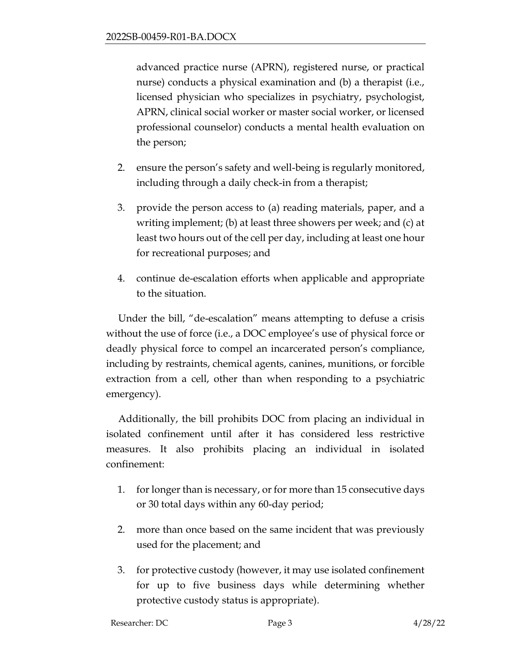advanced practice nurse (APRN), registered nurse, or practical nurse) conducts a physical examination and (b) a therapist (i.e., licensed physician who specializes in psychiatry, psychologist, APRN, clinical social worker or master social worker, or licensed professional counselor) conducts a mental health evaluation on the person;

- 2. ensure the person's safety and well-being is regularly monitored, including through a daily check-in from a therapist;
- 3. provide the person access to (a) reading materials, paper, and a writing implement; (b) at least three showers per week; and (c) at least two hours out of the cell per day, including at least one hour for recreational purposes; and
- 4. continue de-escalation efforts when applicable and appropriate to the situation.

Under the bill, "de-escalation" means attempting to defuse a crisis without the use of force (i.e., a DOC employee's use of physical force or deadly physical force to compel an incarcerated person's compliance, including by restraints, chemical agents, canines, munitions, or forcible extraction from a cell, other than when responding to a psychiatric emergency).

Additionally, the bill prohibits DOC from placing an individual in isolated confinement until after it has considered less restrictive measures. It also prohibits placing an individual in isolated confinement:

- 1. for longer than is necessary, or for more than 15 consecutive days or 30 total days within any 60-day period;
- 2. more than once based on the same incident that was previously used for the placement; and
- 3. for protective custody (however, it may use isolated confinement for up to five business days while determining whether protective custody status is appropriate).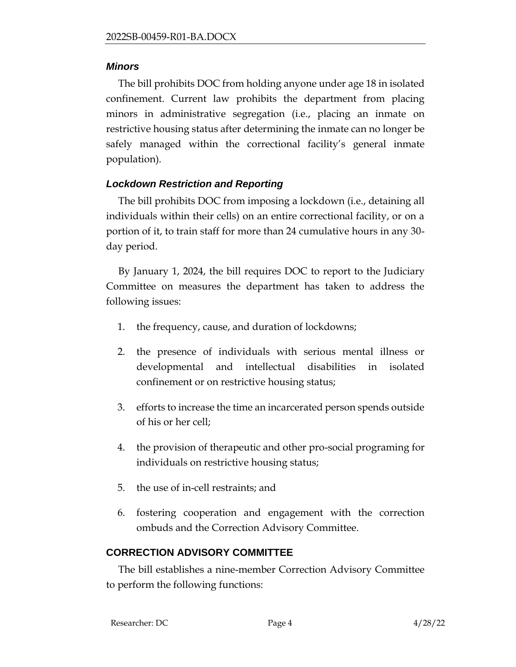### *Minors*

The bill prohibits DOC from holding anyone under age 18 in isolated confinement. Current law prohibits the department from placing minors in administrative segregation (i.e., placing an inmate on restrictive housing status after determining the inmate can no longer be safely managed within the correctional facility's general inmate population).

# *Lockdown Restriction and Reporting*

The bill prohibits DOC from imposing a lockdown (i.e., detaining all individuals within their cells) on an entire correctional facility, or on a portion of it, to train staff for more than 24 cumulative hours in any 30 day period.

By January 1, 2024, the bill requires DOC to report to the Judiciary Committee on measures the department has taken to address the following issues:

- 1. the frequency, cause, and duration of lockdowns;
- 2. the presence of individuals with serious mental illness or developmental and intellectual disabilities in isolated confinement or on restrictive housing status;
- 3. efforts to increase the time an incarcerated person spends outside of his or her cell;
- 4. the provision of therapeutic and other pro-social programing for individuals on restrictive housing status;
- 5. the use of in-cell restraints; and
- 6. fostering cooperation and engagement with the correction ombuds and the Correction Advisory Committee.

# **CORRECTION ADVISORY COMMITTEE**

The bill establishes a nine-member Correction Advisory Committee to perform the following functions: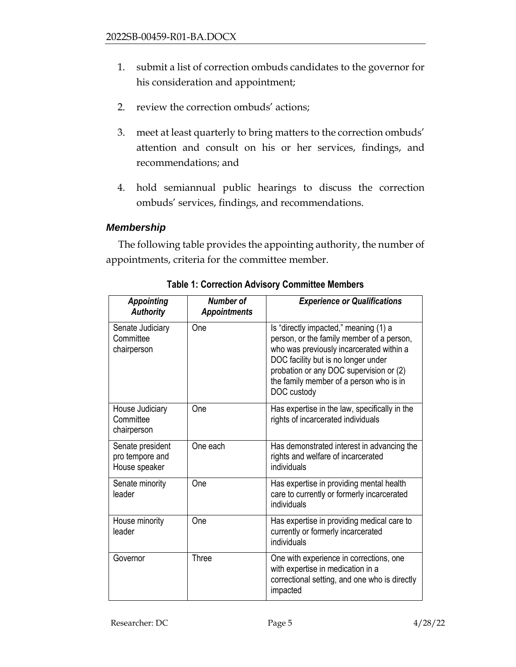- 1. submit a list of correction ombuds candidates to the governor for his consideration and appointment;
- 2. review the correction ombuds' actions;
- 3. meet at least quarterly to bring matters to the correction ombuds' attention and consult on his or her services, findings, and recommendations; and
- 4. hold semiannual public hearings to discuss the correction ombuds' services, findings, and recommendations.

#### *Membership*

The following table provides the appointing authority, the number of appointments, criteria for the committee member.

| <b>Appointing</b><br><b>Authority</b>                | Number of<br><b>Appointments</b> | <b>Experience or Qualifications</b>                                                                                                                                                                                                                                        |  |  |
|------------------------------------------------------|----------------------------------|----------------------------------------------------------------------------------------------------------------------------------------------------------------------------------------------------------------------------------------------------------------------------|--|--|
| Senate Judiciary<br>Committee<br>chairperson         | One                              | Is "directly impacted," meaning (1) a<br>person, or the family member of a person,<br>who was previously incarcerated within a<br>DOC facility but is no longer under<br>probation or any DOC supervision or (2)<br>the family member of a person who is in<br>DOC custody |  |  |
| House Judiciary<br>Committee<br>chairperson          | One                              | Has expertise in the law, specifically in the<br>rights of incarcerated individuals                                                                                                                                                                                        |  |  |
| Senate president<br>pro tempore and<br>House speaker | One each                         | Has demonstrated interest in advancing the<br>rights and welfare of incarcerated<br>individuals                                                                                                                                                                            |  |  |
| Senate minority<br>leader                            | One                              | Has expertise in providing mental health<br>care to currently or formerly incarcerated<br>individuals                                                                                                                                                                      |  |  |
| House minority<br>leader                             | One                              | Has expertise in providing medical care to<br>currently or formerly incarcerated<br>individuals                                                                                                                                                                            |  |  |
| Governor                                             | <b>Three</b>                     | One with experience in corrections, one<br>with expertise in medication in a<br>correctional setting, and one who is directly<br>impacted                                                                                                                                  |  |  |

**Table 1: Correction Advisory Committee Members**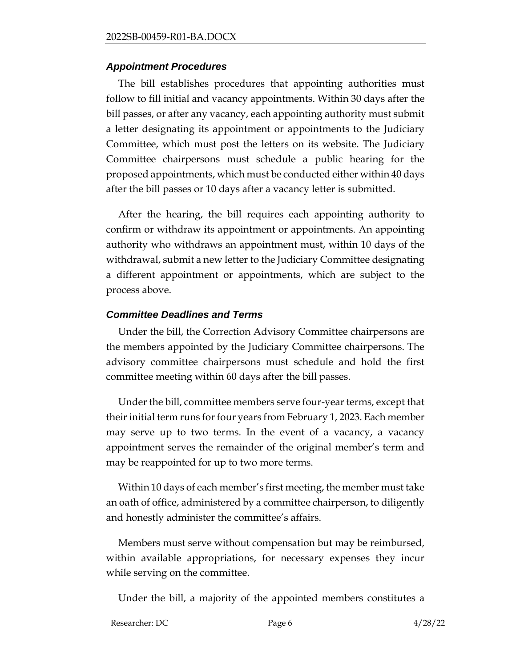#### *Appointment Procedures*

The bill establishes procedures that appointing authorities must follow to fill initial and vacancy appointments. Within 30 days after the bill passes, or after any vacancy, each appointing authority must submit a letter designating its appointment or appointments to the Judiciary Committee, which must post the letters on its website. The Judiciary Committee chairpersons must schedule a public hearing for the proposed appointments, which must be conducted either within 40 days after the bill passes or 10 days after a vacancy letter is submitted.

After the hearing, the bill requires each appointing authority to confirm or withdraw its appointment or appointments. An appointing authority who withdraws an appointment must, within 10 days of the withdrawal, submit a new letter to the Judiciary Committee designating a different appointment or appointments, which are subject to the process above.

### *Committee Deadlines and Terms*

Under the bill, the Correction Advisory Committee chairpersons are the members appointed by the Judiciary Committee chairpersons. The advisory committee chairpersons must schedule and hold the first committee meeting within 60 days after the bill passes.

Under the bill, committee members serve four-year terms, except that their initial term runs for four years from February 1, 2023. Each member may serve up to two terms. In the event of a vacancy, a vacancy appointment serves the remainder of the original member's term and may be reappointed for up to two more terms.

Within 10 days of each member's first meeting, the member must take an oath of office, administered by a committee chairperson, to diligently and honestly administer the committee's affairs.

Members must serve without compensation but may be reimbursed, within available appropriations, for necessary expenses they incur while serving on the committee.

Under the bill, a majority of the appointed members constitutes a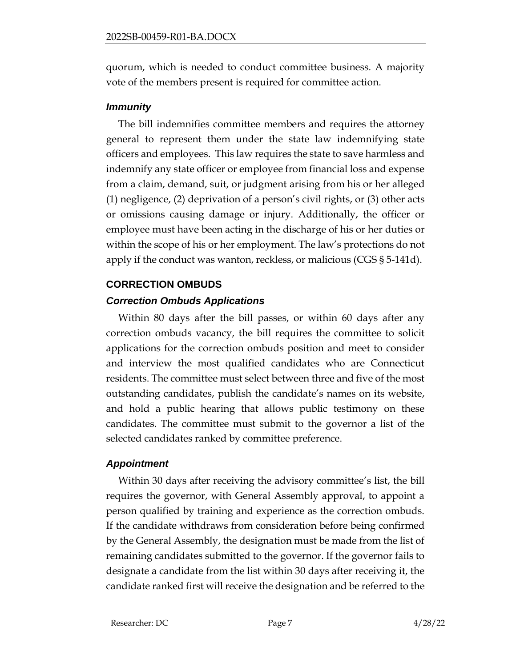quorum, which is needed to conduct committee business. A majority vote of the members present is required for committee action.

### *Immunity*

The bill indemnifies committee members and requires the attorney general to represent them under the state law indemnifying state officers and employees. This law requires the state to save harmless and indemnify any state officer or employee from financial loss and expense from a claim, demand, suit, or judgment arising from his or her alleged (1) negligence, (2) deprivation of a person's civil rights, or (3) other acts or omissions causing damage or injury. Additionally, the officer or employee must have been acting in the discharge of his or her duties or within the scope of his or her employment. The law's protections do not apply if the conduct was wanton, reckless, or malicious (CGS § 5-141d).

# **CORRECTION OMBUDS**

# *Correction Ombuds Applications*

Within 80 days after the bill passes, or within 60 days after any correction ombuds vacancy, the bill requires the committee to solicit applications for the correction ombuds position and meet to consider and interview the most qualified candidates who are Connecticut residents. The committee must select between three and five of the most outstanding candidates, publish the candidate's names on its website, and hold a public hearing that allows public testimony on these candidates. The committee must submit to the governor a list of the selected candidates ranked by committee preference.

### *Appointment*

Within 30 days after receiving the advisory committee's list, the bill requires the governor, with General Assembly approval, to appoint a person qualified by training and experience as the correction ombuds. If the candidate withdraws from consideration before being confirmed by the General Assembly, the designation must be made from the list of remaining candidates submitted to the governor. If the governor fails to designate a candidate from the list within 30 days after receiving it, the candidate ranked first will receive the designation and be referred to the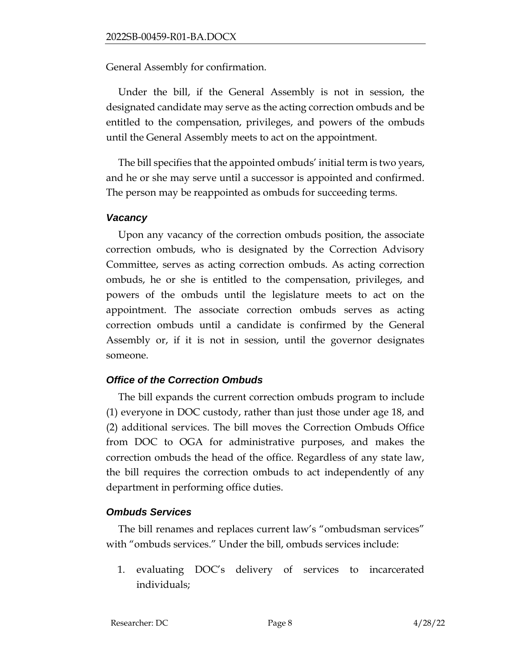General Assembly for confirmation.

Under the bill, if the General Assembly is not in session, the designated candidate may serve as the acting correction ombuds and be entitled to the compensation, privileges, and powers of the ombuds until the General Assembly meets to act on the appointment.

The bill specifies that the appointed ombuds' initial term is two years, and he or she may serve until a successor is appointed and confirmed. The person may be reappointed as ombuds for succeeding terms.

#### *Vacancy*

Upon any vacancy of the correction ombuds position, the associate correction ombuds, who is designated by the Correction Advisory Committee, serves as acting correction ombuds. As acting correction ombuds, he or she is entitled to the compensation, privileges, and powers of the ombuds until the legislature meets to act on the appointment. The associate correction ombuds serves as acting correction ombuds until a candidate is confirmed by the General Assembly or, if it is not in session, until the governor designates someone.

#### *Office of the Correction Ombuds*

The bill expands the current correction ombuds program to include (1) everyone in DOC custody, rather than just those under age 18, and (2) additional services. The bill moves the Correction Ombuds Office from DOC to OGA for administrative purposes, and makes the correction ombuds the head of the office. Regardless of any state law, the bill requires the correction ombuds to act independently of any department in performing office duties.

#### *Ombuds Services*

The bill renames and replaces current law's "ombudsman services" with "ombuds services." Under the bill, ombuds services include:

1. evaluating DOC's delivery of services to incarcerated individuals;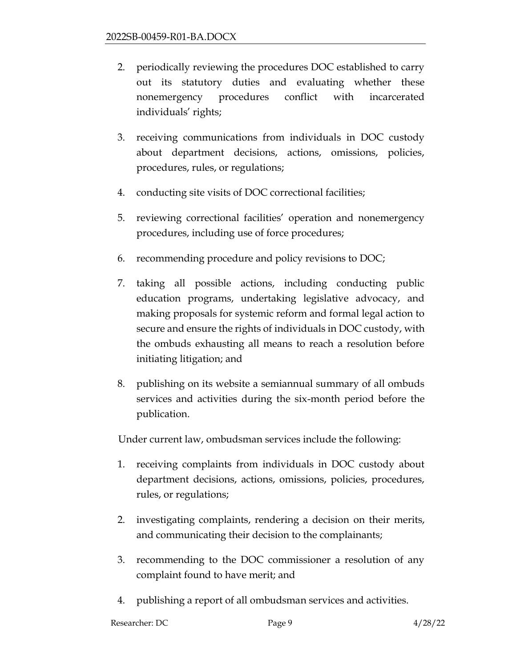- 2. periodically reviewing the procedures DOC established to carry out its statutory duties and evaluating whether these nonemergency procedures conflict with incarcerated individuals' rights;
- 3. receiving communications from individuals in DOC custody about department decisions, actions, omissions, policies, procedures, rules, or regulations;
- 4. conducting site visits of DOC correctional facilities;
- 5. reviewing correctional facilities' operation and nonemergency procedures, including use of force procedures;
- 6. recommending procedure and policy revisions to DOC;
- 7. taking all possible actions, including conducting public education programs, undertaking legislative advocacy, and making proposals for systemic reform and formal legal action to secure and ensure the rights of individuals in DOC custody, with the ombuds exhausting all means to reach a resolution before initiating litigation; and
- 8. publishing on its website a semiannual summary of all ombuds services and activities during the six-month period before the publication.

Under current law, ombudsman services include the following:

- 1. receiving complaints from individuals in DOC custody about department decisions, actions, omissions, policies, procedures, rules, or regulations;
- 2. investigating complaints, rendering a decision on their merits, and communicating their decision to the complainants;
- 3. recommending to the DOC commissioner a resolution of any complaint found to have merit; and
- 4. publishing a report of all ombudsman services and activities.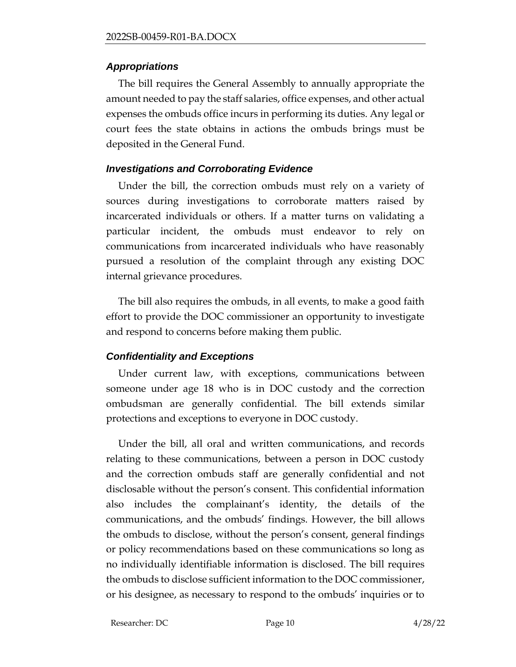### *Appropriations*

The bill requires the General Assembly to annually appropriate the amount needed to pay the staff salaries, office expenses, and other actual expenses the ombuds office incurs in performing its duties. Any legal or court fees the state obtains in actions the ombuds brings must be deposited in the General Fund.

# *Investigations and Corroborating Evidence*

Under the bill, the correction ombuds must rely on a variety of sources during investigations to corroborate matters raised by incarcerated individuals or others. If a matter turns on validating a particular incident, the ombuds must endeavor to rely on communications from incarcerated individuals who have reasonably pursued a resolution of the complaint through any existing DOC internal grievance procedures.

The bill also requires the ombuds, in all events, to make a good faith effort to provide the DOC commissioner an opportunity to investigate and respond to concerns before making them public.

# *Confidentiality and Exceptions*

Under current law, with exceptions, communications between someone under age 18 who is in DOC custody and the correction ombudsman are generally confidential. The bill extends similar protections and exceptions to everyone in DOC custody.

Under the bill, all oral and written communications, and records relating to these communications, between a person in DOC custody and the correction ombuds staff are generally confidential and not disclosable without the person's consent. This confidential information also includes the complainant's identity, the details of the communications, and the ombuds' findings. However, the bill allows the ombuds to disclose, without the person's consent, general findings or policy recommendations based on these communications so long as no individually identifiable information is disclosed. The bill requires the ombuds to disclose sufficient information to the DOC commissioner, or his designee, as necessary to respond to the ombuds' inquiries or to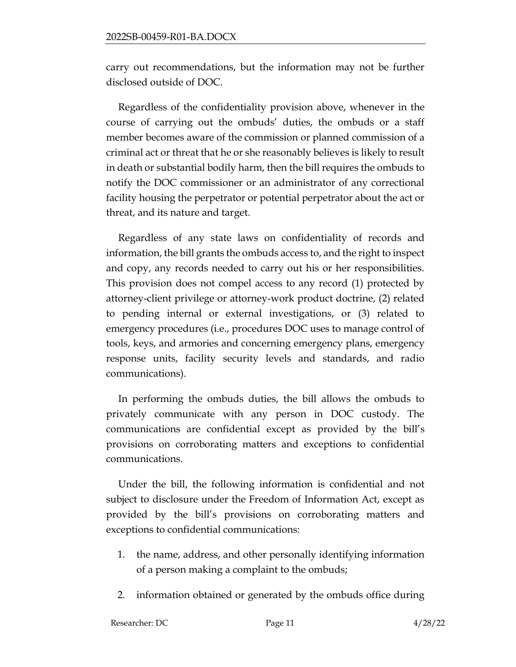carry out recommendations, but the information may not be further disclosed outside of DOC.

Regardless of the confidentiality provision above, whenever in the course of carrying out the ombuds' duties, the ombuds or a staff member becomes aware of the commission or planned commission of a criminal act or threat that he or she reasonably believes is likely to result in death or substantial bodily harm, then the bill requires the ombuds to notify the DOC commissioner or an administrator of any correctional facility housing the perpetrator or potential perpetrator about the act or threat, and its nature and target.

Regardless of any state laws on confidentiality of records and information, the bill grants the ombuds access to, and the right to inspect and copy, any records needed to carry out his or her responsibilities. This provision does not compel access to any record (1) protected by attorney-client privilege or attorney-work product doctrine, (2) related to pending internal or external investigations, or (3) related to emergency procedures (i.e., procedures DOC uses to manage control of tools, keys, and armories and concerning emergency plans, emergency response units, facility security levels and standards, and radio communications).

In performing the ombuds duties, the bill allows the ombuds to privately communicate with any person in DOC custody. The communications are confidential except as provided by the bill's provisions on corroborating matters and exceptions to confidential communications.

Under the bill, the following information is confidential and not subject to disclosure under the Freedom of Information Act, except as provided by the bill's provisions on corroborating matters and exceptions to confidential communications:

- 1. the name, address, and other personally identifying information of a person making a complaint to the ombuds;
- 2. information obtained or generated by the ombuds office during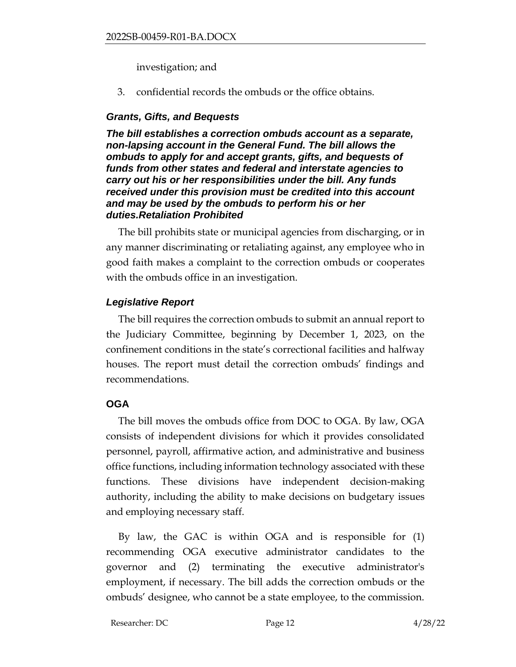#### investigation; and

3. confidential records the ombuds or the office obtains.

# *Grants, Gifts, and Bequests*

*The bill establishes a correction ombuds account as a separate, non-lapsing account in the General Fund. The bill allows the ombuds to apply for and accept grants, gifts, and bequests of funds from other states and federal and interstate agencies to carry out his or her responsibilities under the bill. Any funds received under this provision must be credited into this account and may be used by the ombuds to perform his or her duties.Retaliation Prohibited*

The bill prohibits state or municipal agencies from discharging, or in any manner discriminating or retaliating against, any employee who in good faith makes a complaint to the correction ombuds or cooperates with the ombuds office in an investigation.

# *Legislative Report*

The bill requires the correction ombuds to submit an annual report to the Judiciary Committee, beginning by December 1, 2023, on the confinement conditions in the state's correctional facilities and halfway houses. The report must detail the correction ombuds' findings and recommendations.

### **OGA**

The bill moves the ombuds office from DOC to OGA. By law, OGA consists of independent divisions for which it provides consolidated personnel, payroll, affirmative action, and administrative and business office functions, including information technology associated with these functions. These divisions have independent decision-making authority, including the ability to make decisions on budgetary issues and employing necessary staff.

By law, the GAC is within OGA and is responsible for (1) recommending OGA executive administrator candidates to the governor and (2) terminating the executive administrator's employment, if necessary. The bill adds the correction ombuds or the ombuds' designee, who cannot be a state employee, to the commission.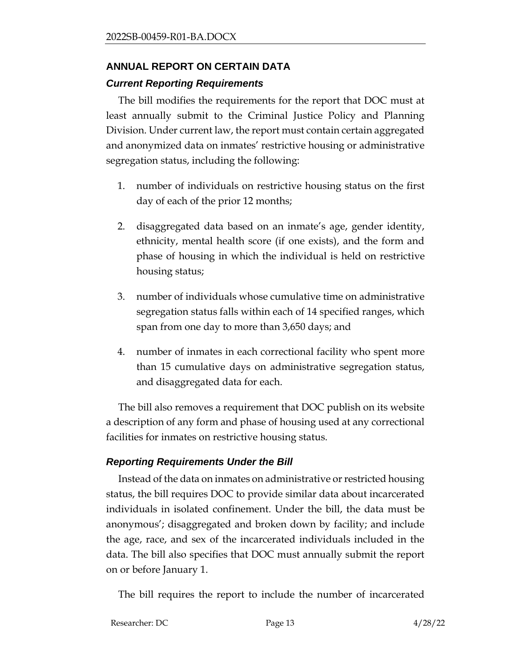# **ANNUAL REPORT ON CERTAIN DATA** *Current Reporting Requirements*

The bill modifies the requirements for the report that DOC must at least annually submit to the Criminal Justice Policy and Planning Division. Under current law, the report must contain certain aggregated and anonymized data on inmates' restrictive housing or administrative segregation status, including the following:

- 1. number of individuals on restrictive housing status on the first day of each of the prior 12 months;
- 2. disaggregated data based on an inmate's age, gender identity, ethnicity, mental health score (if one exists), and the form and phase of housing in which the individual is held on restrictive housing status;
- 3. number of individuals whose cumulative time on administrative segregation status falls within each of 14 specified ranges, which span from one day to more than 3,650 days; and
- 4. number of inmates in each correctional facility who spent more than 15 cumulative days on administrative segregation status, and disaggregated data for each.

The bill also removes a requirement that DOC publish on its website a description of any form and phase of housing used at any correctional facilities for inmates on restrictive housing status.

### *Reporting Requirements Under the Bill*

Instead of the data on inmates on administrative or restricted housing status, the bill requires DOC to provide similar data about incarcerated individuals in isolated confinement. Under the bill, the data must be anonymous'; disaggregated and broken down by facility; and include the age, race, and sex of the incarcerated individuals included in the data. The bill also specifies that DOC must annually submit the report on or before January 1.

The bill requires the report to include the number of incarcerated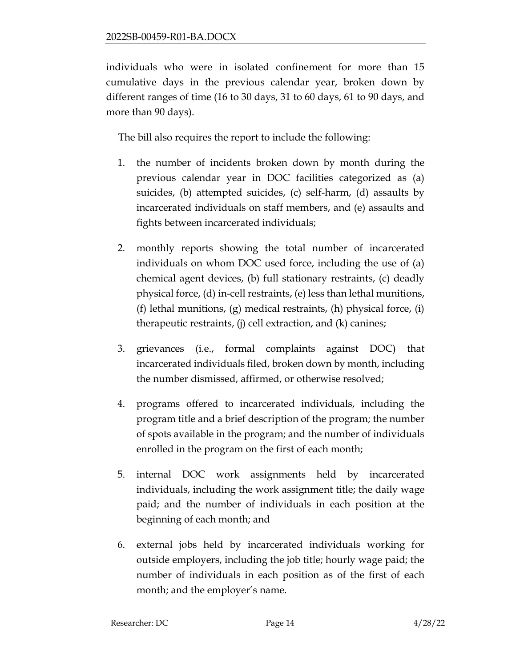individuals who were in isolated confinement for more than 15 cumulative days in the previous calendar year, broken down by different ranges of time (16 to 30 days, 31 to 60 days, 61 to 90 days, and more than 90 days).

The bill also requires the report to include the following:

- 1. the number of incidents broken down by month during the previous calendar year in DOC facilities categorized as (a) suicides, (b) attempted suicides, (c) self-harm, (d) assaults by incarcerated individuals on staff members, and (e) assaults and fights between incarcerated individuals;
- 2. monthly reports showing the total number of incarcerated individuals on whom DOC used force, including the use of (a) chemical agent devices, (b) full stationary restraints, (c) deadly physical force, (d) in-cell restraints, (e) less than lethal munitions, (f) lethal munitions, (g) medical restraints, (h) physical force, (i) therapeutic restraints, (j) cell extraction, and (k) canines;
- 3. grievances (i.e., formal complaints against DOC) that incarcerated individuals filed, broken down by month, including the number dismissed, affirmed, or otherwise resolved;
- 4. programs offered to incarcerated individuals, including the program title and a brief description of the program; the number of spots available in the program; and the number of individuals enrolled in the program on the first of each month;
- 5. internal DOC work assignments held by incarcerated individuals, including the work assignment title; the daily wage paid; and the number of individuals in each position at the beginning of each month; and
- 6. external jobs held by incarcerated individuals working for outside employers, including the job title; hourly wage paid; the number of individuals in each position as of the first of each month; and the employer's name.